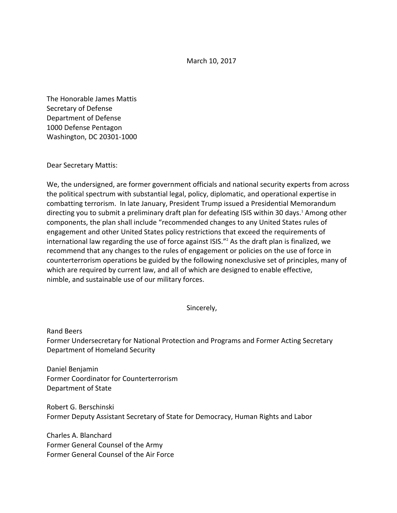March 10, 2017

The Honorable James Mattis Secretary of Defense Department of Defense 1000 Defense Pentagon Washington, DC 20301-1000

Dear Secretary Mattis:

We, the undersigned, are former government officials and national security experts from across the political spectrum with substantial legal, policy, diplomatic, and operational expertise in combatting terrorism. In late January, President Trump issued a Presidential Memorandum directing you to submit a preliminary draft plan for defeating ISIS within 30 days.<sup>1</sup> Among other components, the plan shall include "recommended changes to any United States rules of engagement and other United States policy restrictions that exceed the requirements of international law regarding the use of force against  $ISIS."$  As the draft plan is finalized, we recommend that any changes to the rules of engagement or policies on the use of force in counterterrorism operations be guided by the following nonexclusive set of principles, many of which are required by current law, and all of which are designed to enable effective, nimble, and sustainable use of our military forces.

Sincerely,

Rand Beers Former Undersecretary for National Protection and Programs and Former Acting Secretary Department of Homeland Security

Daniel Benjamin Former Coordinator for Counterterrorism Department of State

Robert G. Berschinski Former Deputy Assistant Secretary of State for Democracy, Human Rights and Labor

Charles A. Blanchard Former General Counsel of the Army Former General Counsel of the Air Force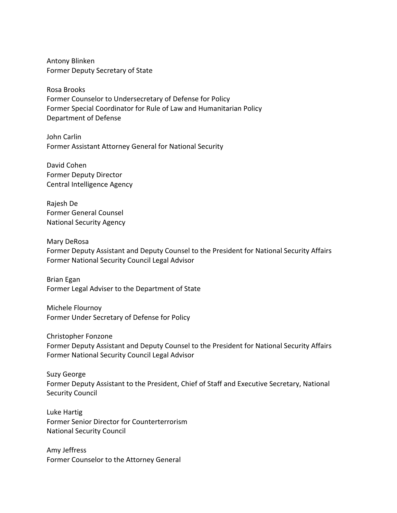Antony Blinken Former Deputy Secretary of State

Rosa Brooks Former Counselor to Undersecretary of Defense for Policy Former Special Coordinator for Rule of Law and Humanitarian Policy Department of Defense

John Carlin Former Assistant Attorney General for National Security

David Cohen Former Deputy Director Central Intelligence Agency

Rajesh De Former General Counsel National Security Agency

Mary DeRosa Former Deputy Assistant and Deputy Counsel to the President for National Security Affairs Former National Security Council Legal Advisor

Brian Egan Former Legal Adviser to the Department of State

Michele Flournoy Former Under Secretary of Defense for Policy

Christopher Fonzone Former Deputy Assistant and Deputy Counsel to the President for National Security Affairs Former National Security Council Legal Advisor

Suzy George Former Deputy Assistant to the President, Chief of Staff and Executive Secretary, National Security Council

Luke Hartig Former Senior Director for Counterterrorism **National Security Council** 

Amy Jeffress Former Counselor to the Attorney General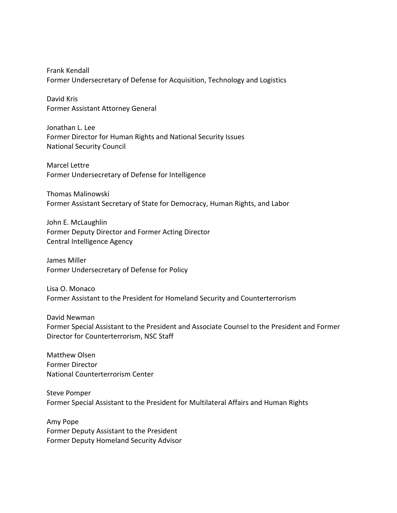Frank Kendall Former Undersecretary of Defense for Acquisition, Technology and Logistics

David Kris Former Assistant Attorney General

Jonathan L. Lee Former Director for Human Rights and National Security Issues **National Security Council** 

Marcel Lettre Former Undersecretary of Defense for Intelligence

Thomas Malinowski Former Assistant Secretary of State for Democracy, Human Rights, and Labor

John E. McLaughlin Former Deputy Director and Former Acting Director Central Intelligence Agency

James Miller Former Undersecretary of Defense for Policy

Lisa O. Monaco Former Assistant to the President for Homeland Security and Counterterrorism

David Newman Former Special Assistant to the President and Associate Counsel to the President and Former Director for Counterterrorism, NSC Staff

Matthew Olsen Former Director National Counterterrorism Center

Steve Pomper Former Special Assistant to the President for Multilateral Affairs and Human Rights

Amy Pope Former Deputy Assistant to the President Former Deputy Homeland Security Advisor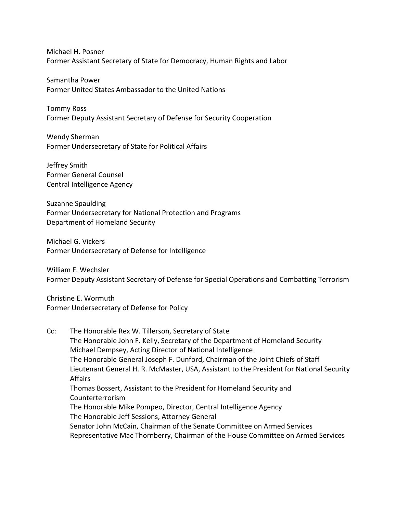Michael H. Posner Former Assistant Secretary of State for Democracy, Human Rights and Labor

Samantha Power Former United States Ambassador to the United Nations

Tommy Ross Former Deputy Assistant Secretary of Defense for Security Cooperation

Wendy Sherman Former Undersecretary of State for Political Affairs

Jeffrey Smith Former General Counsel Central Intelligence Agency

Suzanne Spaulding Former Undersecretary for National Protection and Programs Department of Homeland Security

Michael G. Vickers Former Undersecretary of Defense for Intelligence

William F. Wechsler Former Deputy Assistant Secretary of Defense for Special Operations and Combatting Terrorism

Christine E. Wormuth Former Undersecretary of Defense for Policy

Cc: The Honorable Rex W. Tillerson, Secretary of State The Honorable John F. Kelly, Secretary of the Department of Homeland Security Michael Dempsey, Acting Director of National Intelligence The Honorable General Joseph F. Dunford, Chairman of the Joint Chiefs of Staff Lieutenant General H. R. McMaster, USA, Assistant to the President for National Security Affairs Thomas Bossert, Assistant to the President for Homeland Security and Counterterrorism The Honorable Mike Pompeo, Director, Central Intelligence Agency The Honorable Jeff Sessions, Attorney General Senator John McCain, Chairman of the Senate Committee on Armed Services Representative Mac Thornberry, Chairman of the House Committee on Armed Services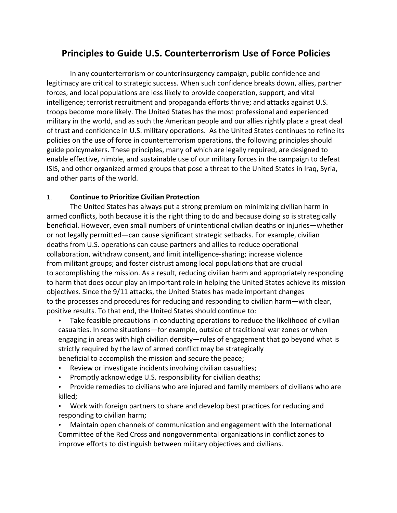# **Principles to Guide U.S. Counterterrorism Use of Force Policies**

In any counterterrorism or counterinsurgency campaign, public confidence and legitimacy are critical to strategic success. When such confidence breaks down, allies, partner forces, and local populations are less likely to provide cooperation, support, and vital intelligence; terrorist recruitment and propaganda efforts thrive; and attacks against U.S. troops become more likely. The United States has the most professional and experienced military in the world, and as such the American people and our allies rightly place a great deal of trust and confidence in U.S. military operations. As the United States continues to refine its policies on the use of force in counterterrorism operations, the following principles should guide policymakers. These principles, many of which are legally required, are designed to enable effective, nimble, and sustainable use of our military forces in the campaign to defeat ISIS, and other organized armed groups that pose a threat to the United States in Iraq, Syria, and other parts of the world.

#### 1. **Continue to Prioritize Civilian Protection**

The United States has always put a strong premium on minimizing civilian harm in armed conflicts, both because it is the right thing to do and because doing so is strategically beneficial. However, even small numbers of unintentional civilian deaths or injuries—whether or not legally permitted—can cause significant strategic setbacks. For example, civilian deaths from U.S. operations can cause partners and allies to reduce operational collaboration, withdraw consent, and limit intelligence-sharing; increase violence from militant groups; and foster distrust among local populations that are crucial to accomplishing the mission. As a result, reducing civilian harm and appropriately responding to harm that does occur play an important role in helping the United States achieve its mission objectives. Since the 9/11 attacks, the United States has made important changes to the processes and procedures for reducing and responding to civilian harm—with clear, positive results. To that end, the United States should continue to:

• Take feasible precautions in conducting operations to reduce the likelihood of civilian casualties. In some situations—for example, outside of traditional war zones or when engaging in areas with high civilian density—rules of engagement that go beyond what is strictly required by the law of armed conflict may be strategically beneficial to accomplish the mission and secure the peace;

- Review or investigate incidents involving civilian casualties;
- Promptly acknowledge U.S. responsibility for civilian deaths;
- Provide remedies to civilians who are injured and family members of civilians who are killed;

• Work with foreign partners to share and develop best practices for reducing and responding to civilian harm;

Maintain open channels of communication and engagement with the International Committee of the Red Cross and nongovernmental organizations in conflict zones to improve efforts to distinguish between military objectives and civilians.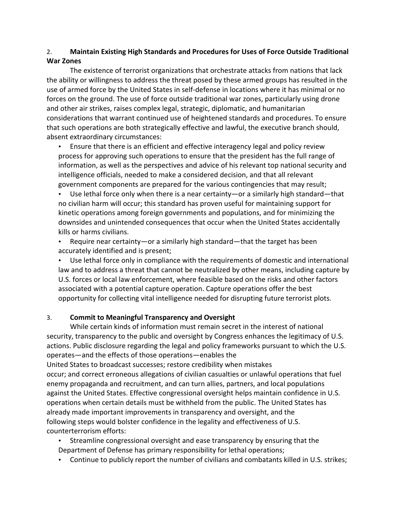#### 2. Maintain Existing High Standards and Procedures for Uses of Force Outside Traditional **War Zones**

The existence of terrorist organizations that orchestrate attacks from nations that lack the ability or willingness to address the threat posed by these armed groups has resulted in the use of armed force by the United States in self-defense in locations where it has minimal or no forces on the ground. The use of force outside traditional war zones, particularly using drone and other air strikes, raises complex legal, strategic, diplomatic, and humanitarian considerations that warrant continued use of heightened standards and procedures. To ensure that such operations are both strategically effective and lawful, the executive branch should, absent extraordinary circumstances:

• Ensure that there is an efficient and effective interagency legal and policy review process for approving such operations to ensure that the president has the full range of information, as well as the perspectives and advice of his relevant top national security and intelligence officials, needed to make a considered decision, and that all relevant government components are prepared for the various contingencies that may result;

• Use lethal force only when there is a near certainty—or a similarly high standard—that no civilian harm will occur; this standard has proven useful for maintaining support for kinetic operations among foreign governments and populations, and for minimizing the downsides and unintended consequences that occur when the United States accidentally kills or harms civilians.

Require near certainty—or a similarly high standard—that the target has been accurately identified and is present;

• Use lethal force only in compliance with the requirements of domestic and international law and to address a threat that cannot be neutralized by other means, including capture by U.S. forces or local law enforcement, where feasible based on the risks and other factors associated with a potential capture operation. Capture operations offer the best opportunity for collecting vital intelligence needed for disrupting future terrorist plots.

## 3. **Commit to Meaningful Transparency and Oversight**

While certain kinds of information must remain secret in the interest of national security, transparency to the public and oversight by Congress enhances the legitimacy of U.S. actions. Public disclosure regarding the legal and policy frameworks pursuant to which the U.S. operates—and the effects of those operations—enables the United States to broadcast successes; restore credibility when mistakes occur; and correct erroneous allegations of civilian casualties or unlawful operations that fuel enemy propaganda and recruitment, and can turn allies, partners, and local populations against the United States. Effective congressional oversight helps maintain confidence in U.S. operations when certain details must be withheld from the public. The United States has already made important improvements in transparency and oversight, and the following steps would bolster confidence in the legality and effectiveness of U.S. counterterrorism efforts:

- Streamline congressional oversight and ease transparency by ensuring that the Department of Defense has primary responsibility for lethal operations;
- Continue to publicly report the number of civilians and combatants killed in U.S. strikes;